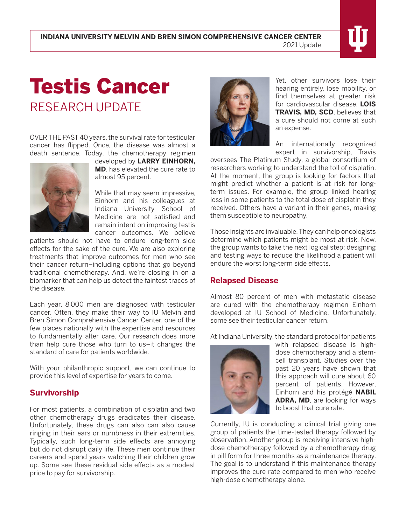# Testis Cancer RESEARCH UPDATE

OVER THE PAST 40 years, the survival rate for testicular cancer has flipped. Once, the disease was almost a death sentence. Today, the chemotherapy regimen



developed by **LARRY EINHORN, MD**, has elevated the cure rate to almost 95 percent.

While that may seem impressive, Einhorn and his colleagues at Indiana University School of Medicine are not satisfied and remain intent on improving testis cancer outcomes. We believe

patients should not have to endure long-term side effects for the sake of the cure. We are also exploring treatments that improve outcomes for men who see their cancer return–including options that go beyond traditional chemotherapy. And, we're closing in on a biomarker that can help us detect the faintest traces of the disease.

Each year, 8,000 men are diagnosed with testicular cancer. Often, they make their way to IU Melvin and Bren Simon Comprehensive Cancer Center, one of the few places nationally with the expertise and resources to fundamentally alter care. Our research does more than help cure those who turn to us–it changes the standard of care for patients worldwide.

With your philanthropic support, we can continue to provide this level of expertise for years to come.

# **Survivorship**

For most patients, a combination of cisplatin and two other chemotherapy drugs eradicates their disease. Unfortunately, these drugs can also can also cause ringing in their ears or numbness in their extremities. Typically, such long-term side effects are annoying but do not disrupt daily life. These men continue their careers and spend years watching their children grow up. Some see these residual side effects as a modest price to pay for survivorship.



Yet, other survivors lose their hearing entirely, lose mobility, or find themselves at greater risk for cardiovascular disease. **LOIS TRAVIS, MD, SCD**, believes that a cure should not come at such an expense.

An internationally recognized expert in survivorship, Travis

oversees The Platinum Study, a global consortium of researchers working to understand the toll of cisplatin. At the moment, the group is looking for factors that might predict whether a patient is at risk for longterm issues. For example, the group linked hearing loss in some patients to the total dose of cisplatin they received. Others have a variant in their genes, making them susceptible to neuropathy.

Those insights are invaluable. They can help oncologists determine which patients might be most at risk. Now, the group wants to take the next logical step: designing and testing ways to reduce the likelihood a patient will endure the worst long-term side effects.

### **Relapsed Disease**

Almost 80 percent of men with metastatic disease are cured with the chemotherapy regimen Einhorn developed at IU School of Medicine. Unfortunately, some see their testicular cancer return.

At Indiana University, the standard protocol for patients



with relapsed disease is highdose chemotherapy and a stemcell transplant. Studies over the past 20 years have shown that this approach will cure about 60 percent of patients. However, Einhorn and his protégé **NABIL ADRA, MD**, are looking for ways to boost that cure rate.

Currently, IU is conducting a clinical trial giving one group of patients the time-tested therapy followed by observation. Another group is receiving intensive highdose chemotherapy followed by a chemotherapy drug in pill form for three months as a maintenance therapy. The goal is to understand if this maintenance therapy improves the cure rate compared to men who receive high-dose chemotherapy alone.